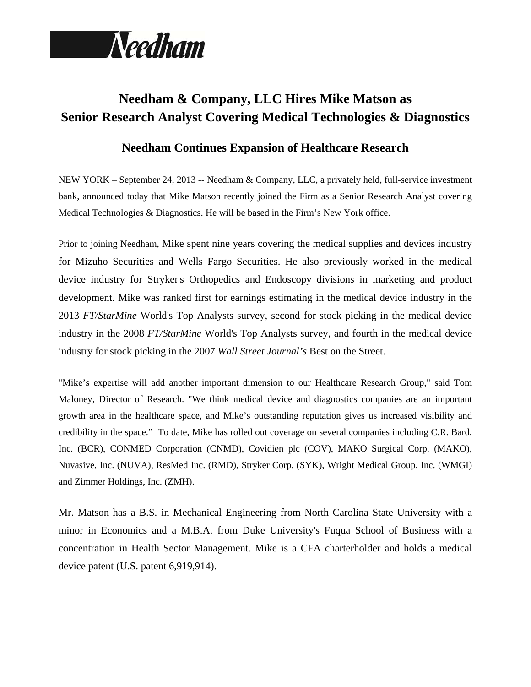

# **Needham & Company, LLC Hires Mike Matson as Senior Research Analyst Covering Medical Technologies & Diagnostics**

## **Needham Continues Expansion of Healthcare Research**

NEW YORK – September 24, 2013 -- Needham & Company, LLC, a privately held, full-service investment bank, announced today that Mike Matson recently joined the Firm as a Senior Research Analyst covering Medical Technologies & Diagnostics. He will be based in the Firm's New York office.

Prior to joining Needham, Mike spent nine years covering the medical supplies and devices industry for Mizuho Securities and Wells Fargo Securities. He also previously worked in the medical device industry for Stryker's Orthopedics and Endoscopy divisions in marketing and product development. Mike was ranked first for earnings estimating in the medical device industry in the 2013 *FT/StarMine* World's Top Analysts survey, second for stock picking in the medical device industry in the 2008 *FT/StarMine* World's Top Analysts survey, and fourth in the medical device industry for stock picking in the 2007 *Wall Street Journal's* Best on the Street.

"Mike's expertise will add another important dimension to our Healthcare Research Group," said Tom Maloney, Director of Research. "We think medical device and diagnostics companies are an important growth area in the healthcare space, and Mike's outstanding reputation gives us increased visibility and credibility in the space." To date, Mike has rolled out coverage on several companies including C.R. Bard, Inc. (BCR), CONMED Corporation (CNMD), Covidien plc (COV), MAKO Surgical Corp. (MAKO), Nuvasive, Inc. (NUVA), ResMed Inc. (RMD), Stryker Corp. (SYK), Wright Medical Group, Inc. (WMGI) and Zimmer Holdings, Inc. (ZMH).

Mr. Matson has a B.S. in Mechanical Engineering from North Carolina State University with a minor in Economics and a M.B.A. from Duke University's Fuqua School of Business with a concentration in Health Sector Management. Mike is a CFA charterholder and holds a medical device patent (U.S. patent 6,919,914).